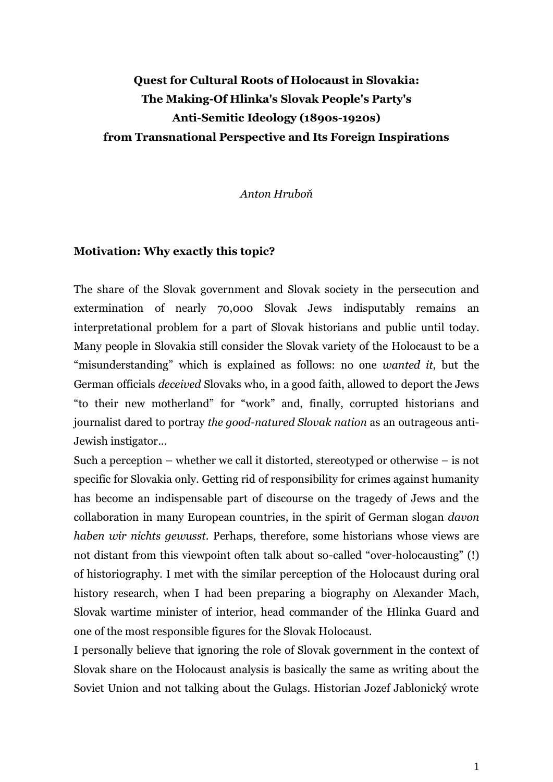# **Quest for Cultural Roots of Holocaust in Slovakia: The Making-Of Hlinka's Slovak People's Party's Anti-Semitic Ideology (1890s-1920s) from Transnational Perspective and Its Foreign Inspirations**

*Anton Hruboň*

#### **Motivation: Why exactly this topic?**

The share of the Slovak government and Slovak society in the persecution and extermination of nearly 70,000 Slovak Jews indisputably remains an interpretational problem for a part of Slovak historians and public until today. Many people in Slovakia still consider the Slovak variety of the Holocaust to be a "misunderstanding" which is explained as follows: no one *wanted it*, but the German officials *deceived* Slovaks who, in a good faith, allowed to deport the Jews "to their new motherland" for "work" and, finally, corrupted historians and journalist dared to portray *the good-natured Slovak nation* as an outrageous anti-Jewish instigator...

Such a perception – whether we call it distorted, stereotyped or otherwise – is not specific for Slovakia only. Getting rid of responsibility for crimes against humanity has become an indispensable part of discourse on the tragedy of Jews and the collaboration in many European countries, in the spirit of German slogan *davon haben wir nichts gewusst*. Perhaps, therefore, some historians whose views are not distant from this viewpoint often talk about so-called "over-holocausting" (!) of historiography. I met with the similar perception of the Holocaust during oral history research, when I had been preparing a biography on Alexander Mach, Slovak wartime minister of interior, head commander of the Hlinka Guard and one of the most responsible figures for the Slovak Holocaust.

I personally believe that ignoring the role of Slovak government in the context of Slovak share on the Holocaust analysis is basically the same as writing about the Soviet Union and not talking about the Gulags. Historian Jozef Jablonický wrote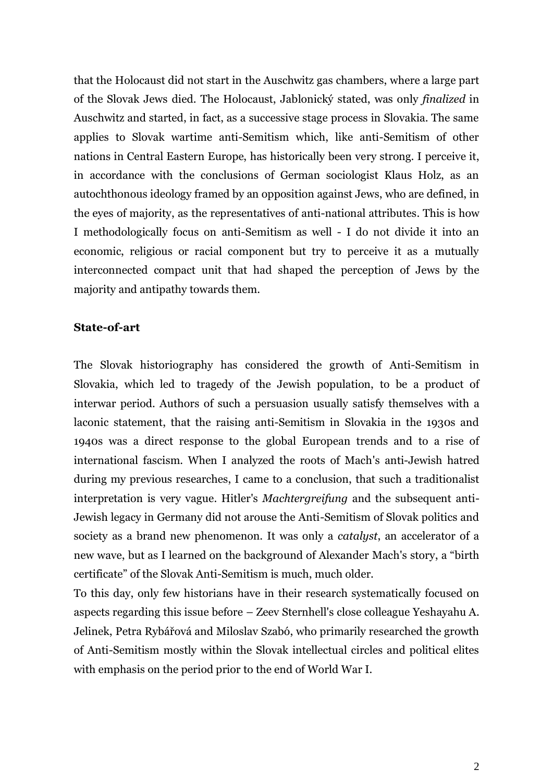that the Holocaust did not start in the Auschwitz gas chambers, where a large part of the Slovak Jews died. The Holocaust, Jablonický stated, was only *finalized* in Auschwitz and started, in fact, as a successive stage process in Slovakia. The same applies to Slovak wartime anti-Semitism which, like anti-Semitism of other nations in Central Eastern Europe, has historically been very strong. I perceive it, in accordance with the conclusions of German sociologist Klaus Holz, as an autochthonous ideology framed by an opposition against Jews, who are defined, in the eyes of majority, as the representatives of anti-national attributes. This is how I methodologically focus on anti-Semitism as well - I do not divide it into an economic, religious or racial component but try to perceive it as a mutually interconnected compact unit that had shaped the perception of Jews by the majority and antipathy towards them.

### **State-of-art**

The Slovak historiography has considered the growth of Anti-Semitism in Slovakia, which led to tragedy of the Jewish population, to be a product of interwar period. Authors of such a persuasion usually satisfy themselves with a laconic statement, that the raising anti-Semitism in Slovakia in the 1930s and 1940s was a direct response to the global European trends and to a rise of international fascism. When I analyzed the roots of Mach's anti-Jewish hatred during my previous researches, I came to a conclusion, that such a traditionalist interpretation is very vague. Hitler's *Machtergreifung* and the subsequent anti-Jewish legacy in Germany did not arouse the Anti-Semitism of Slovak politics and society as a brand new phenomenon. It was only a *catalyst*, an accelerator of a new wave, but as I learned on the background of Alexander Mach's story, a "birth certificate" of the Slovak Anti-Semitism is much, much older.

To this day, only few historians have in their research systematically focused on aspects regarding this issue before – Zeev Sternhell's close colleague Yeshayahu A. Jelinek, Petra Rybářová and Miloslav Szabó, who primarily researched the growth of Anti-Semitism mostly within the Slovak intellectual circles and political elites with emphasis on the period prior to the end of World War I.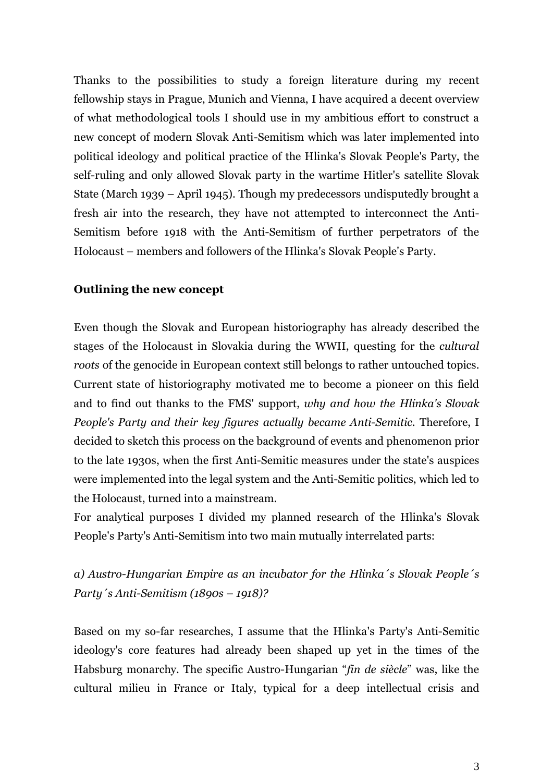Thanks to the possibilities to study a foreign literature during my recent fellowship stays in Prague, Munich and Vienna, I have acquired a decent overview of what methodological tools I should use in my ambitious effort to construct a new concept of modern Slovak Anti-Semitism which was later implemented into political ideology and political practice of the Hlinka's Slovak People's Party, the self-ruling and only allowed Slovak party in the wartime Hitler's satellite Slovak State (March 1939 – April 1945). Though my predecessors undisputedly brought a fresh air into the research, they have not attempted to interconnect the Anti-Semitism before 1918 with the Anti-Semitism of further perpetrators of the Holocaust – members and followers of the Hlinka's Slovak People's Party.

### **Outlining the new concept**

Even though the Slovak and European historiography has already described the stages of the Holocaust in Slovakia during the WWII, questing for the *cultural roots* of the genocide in European context still belongs to rather untouched topics. Current state of historiography motivated me to become a pioneer on this field and to find out thanks to the FMS' support, *why and how the Hlinka's Slovak People's Party and their key figures actually became Anti-Semitic*. Therefore, I decided to sketch this process on the background of events and phenomenon prior to the late 1930s, when the first Anti-Semitic measures under the state's auspices were implemented into the legal system and the Anti-Semitic politics, which led to the Holocaust, turned into a mainstream.

For analytical purposes I divided my planned research of the Hlinka's Slovak People's Party's Anti-Semitism into two main mutually interrelated parts:

## *a) Austro-Hungarian Empire as an incubator for the Hlinka´s Slovak People´s Party´s Anti-Semitism (1890s – 1918)?*

Based on my so-far researches, I assume that the Hlinka's Party's Anti-Semitic ideology's core features had already been shaped up yet in the times of the Habsburg monarchy. The specific Austro-Hungarian "*fin de siècle*" was, like the cultural milieu in France or Italy, typical for a deep intellectual crisis and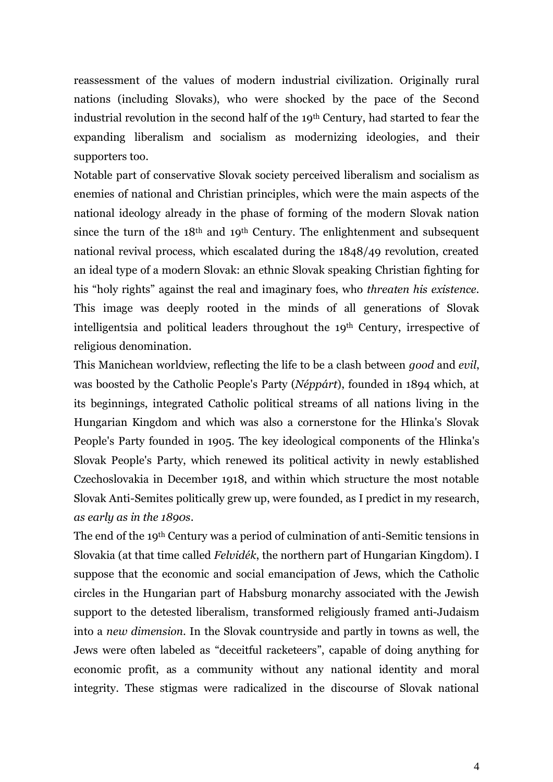reassessment of the values of modern industrial civilization. Originally rural nations (including Slovaks), who were shocked by the pace of the Second industrial revolution in the second half of the 19th Century, had started to fear the expanding liberalism and socialism as modernizing ideologies, and their supporters too.

Notable part of conservative Slovak society perceived liberalism and socialism as enemies of national and Christian principles, which were the main aspects of the national ideology already in the phase of forming of the modern Slovak nation since the turn of the 18th and 19th Century. The enlightenment and subsequent national revival process, which escalated during the 1848/49 revolution, created an ideal type of a modern Slovak: an ethnic Slovak speaking Christian fighting for his "holy rights" against the real and imaginary foes, who *threaten his existence*. This image was deeply rooted in the minds of all generations of Slovak intelligentsia and political leaders throughout the 19th Century, irrespective of religious denomination.

This Manichean worldview, reflecting the life to be a clash between *good* and *evil*, was boosted by the Catholic People's Party (*Néppárt*), founded in 1894 which, at its beginnings, integrated Catholic political streams of all nations living in the Hungarian Kingdom and which was also a cornerstone for the Hlinka's Slovak People's Party founded in 1905. The key ideological components of the Hlinka's Slovak People's Party, which renewed its political activity in newly established Czechoslovakia in December 1918, and within which structure the most notable Slovak Anti-Semites politically grew up, were founded, as I predict in my research, *as early as in the 1890s*.

The end of the 19th Century was a period of culmination of anti-Semitic tensions in Slovakia (at that time called *Felvidék*, the northern part of Hungarian Kingdom). I suppose that the economic and social emancipation of Jews, which the Catholic circles in the Hungarian part of Habsburg monarchy associated with the Jewish support to the detested liberalism, transformed religiously framed anti-Judaism into a *new dimension*. In the Slovak countryside and partly in towns as well, the Jews were often labeled as "deceitful racketeers", capable of doing anything for economic profit, as a community without any national identity and moral integrity. These stigmas were radicalized in the discourse of Slovak national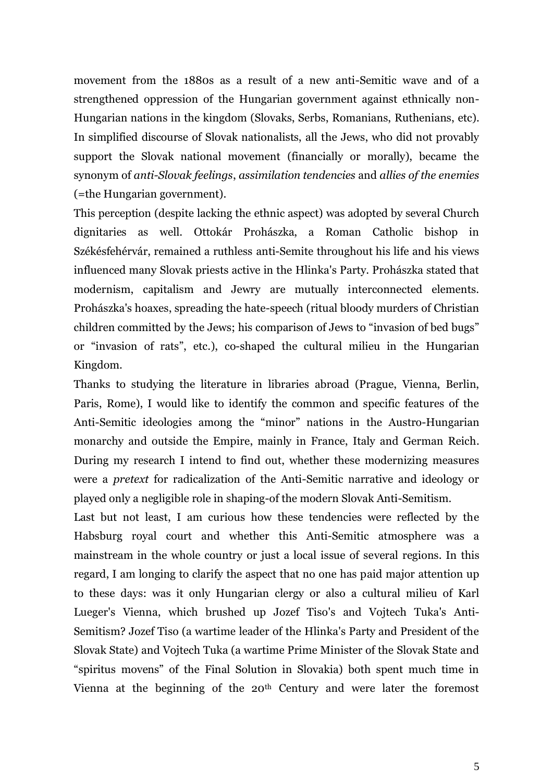movement from the 1880s as a result of a new anti-Semitic wave and of a strengthened oppression of the Hungarian government against ethnically non-Hungarian nations in the kingdom (Slovaks, Serbs, Romanians, Ruthenians, etc). In simplified discourse of Slovak nationalists, all the Jews, who did not provably support the Slovak national movement (financially or morally), became the synonym of *anti-Slovak feelings*, *assimilation tendencies* and *allies of the enemies* (=the Hungarian government).

This perception (despite lacking the ethnic aspect) was adopted by several Church dignitaries as well. Ottokár Prohászka, a Roman Catholic bishop in Székésfehérvár, remained a ruthless anti-Semite throughout his life and his views influenced many Slovak priests active in the Hlinka's Party. Prohászka stated that modernism, capitalism and Jewry are mutually interconnected elements. Prohászka's hoaxes, spreading the hate-speech (ritual bloody murders of Christian children committed by the Jews; his comparison of Jews to "invasion of bed bugs" or "invasion of rats", etc.), co-shaped the cultural milieu in the Hungarian Kingdom.

Thanks to studying the literature in libraries abroad (Prague, Vienna, Berlin, Paris, Rome), I would like to identify the common and specific features of the Anti-Semitic ideologies among the "minor" nations in the Austro-Hungarian monarchy and outside the Empire, mainly in France, Italy and German Reich. During my research I intend to find out, whether these modernizing measures were a *pretext* for radicalization of the Anti-Semitic narrative and ideology or played only a negligible role in shaping-of the modern Slovak Anti-Semitism.

Last but not least, I am curious how these tendencies were reflected by the Habsburg royal court and whether this Anti-Semitic atmosphere was a mainstream in the whole country or just a local issue of several regions. In this regard, I am longing to clarify the aspect that no one has paid major attention up to these days: was it only Hungarian clergy or also a cultural milieu of Karl Lueger's Vienna, which brushed up Jozef Tiso's and Vojtech Tuka's Anti-Semitism? Jozef Tiso (a wartime leader of the Hlinka's Party and President of the Slovak State) and Vojtech Tuka (a wartime Prime Minister of the Slovak State and "spiritus movens" of the Final Solution in Slovakia) both spent much time in Vienna at the beginning of the 20<sup>th</sup> Century and were later the foremost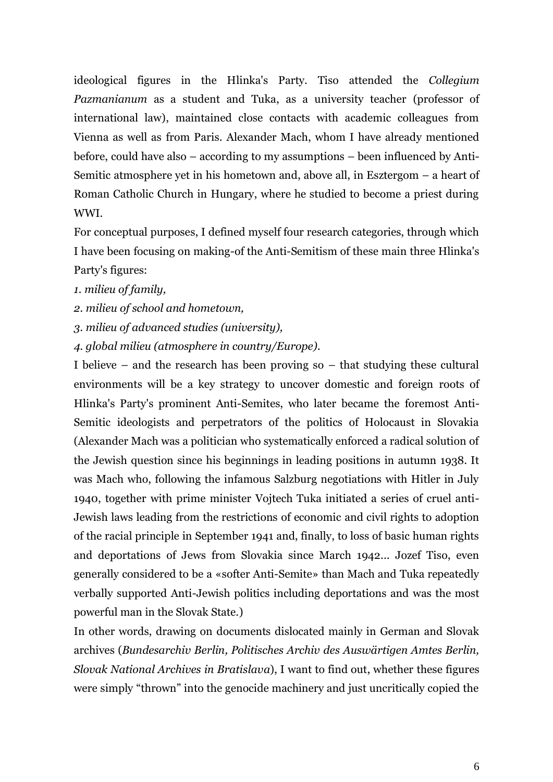ideological figures in the Hlinka's Party. Tiso attended the *Collegium Pazmanianum* as a student and Tuka, as a university teacher (professor of international law), maintained close contacts with academic colleagues from Vienna as well as from Paris. Alexander Mach, whom I have already mentioned before, could have also – according to my assumptions – been influenced by Anti-Semitic atmosphere yet in his hometown and, above all, in Esztergom – a heart of Roman Catholic Church in Hungary, where he studied to become a priest during WWI.

For conceptual purposes, I defined myself four research categories, through which I have been focusing on making-of the Anti-Semitism of these main three Hlinka's Party's figures:

*1. milieu of family,* 

*2. milieu of school and hometown,* 

*3. milieu of advanced studies (university),* 

*4. global milieu (atmosphere in country/Europe).* 

I believe – and the research has been proving so – that studying these cultural environments will be a key strategy to uncover domestic and foreign roots of Hlinka's Party's prominent Anti-Semites, who later became the foremost Anti-Semitic ideologists and perpetrators of the politics of Holocaust in Slovakia (Alexander Mach was a politician who systematically enforced a radical solution of the Jewish question since his beginnings in leading positions in autumn 1938. It was Mach who, following the infamous Salzburg negotiations with Hitler in July 1940, together with prime minister Vojtech Tuka initiated a series of cruel anti-Jewish laws leading from the restrictions of economic and civil rights to adoption of the racial principle in September 1941 and, finally, to loss of basic human rights and deportations of Jews from Slovakia since March 1942... Jozef Tiso, even generally considered to be a «softer Anti-Semite» than Mach and Tuka repeatedly verbally supported Anti-Jewish politics including deportations and was the most powerful man in the Slovak State.)

In other words, drawing on documents dislocated mainly in German and Slovak archives (*Bundesarchiv Berlin, Politisches Archiv des Auswärtigen Amtes Berlin, Slovak National Archives in Bratislava*), I want to find out, whether these figures were simply "thrown" into the genocide machinery and just uncritically copied the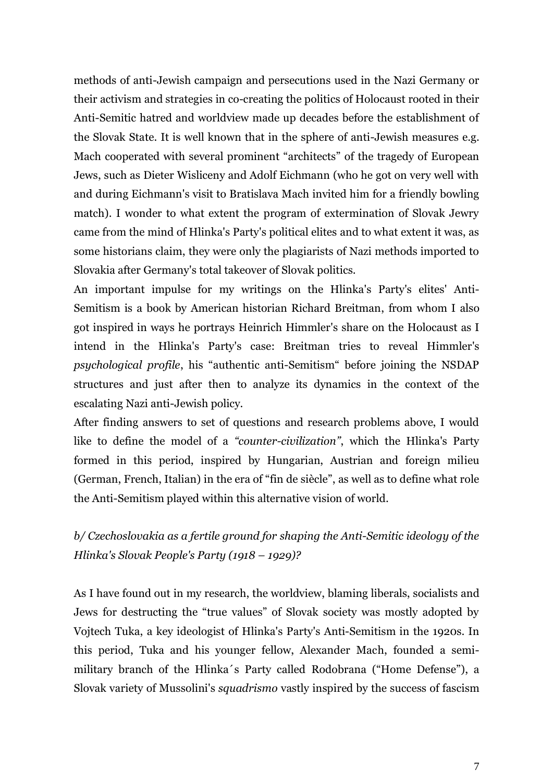methods of anti-Jewish campaign and persecutions used in the Nazi Germany or their activism and strategies in co-creating the politics of Holocaust rooted in their Anti-Semitic hatred and worldview made up decades before the establishment of the Slovak State. It is well known that in the sphere of anti-Jewish measures e.g. Mach cooperated with several prominent "architects" of the tragedy of European Jews, such as Dieter Wisliceny and Adolf Eichmann (who he got on very well with and during Eichmann's visit to Bratislava Mach invited him for a friendly bowling match). I wonder to what extent the program of extermination of Slovak Jewry came from the mind of Hlinka's Party's political elites and to what extent it was, as some historians claim, they were only the plagiarists of Nazi methods imported to Slovakia after Germany's total takeover of Slovak politics.

An important impulse for my writings on the Hlinka's Party's elites' Anti-Semitism is a book by American historian Richard Breitman, from whom I also got inspired in ways he portrays Heinrich Himmler's share on the Holocaust as I intend in the Hlinka's Party's case: Breitman tries to reveal Himmler's *psychological profile*, his "authentic anti-Semitism" before joining the NSDAP structures and just after then to analyze its dynamics in the context of the escalating Nazi anti-Jewish policy.

After finding answers to set of questions and research problems above, I would like to define the model of a *"counter-civilization"*, which the Hlinka's Party formed in this period, inspired by Hungarian, Austrian and foreign milieu (German, French, Italian) in the era of "fin de siècle", as well as to define what role the Anti-Semitism played within this alternative vision of world.

# *b/ Czechoslovakia as a fertile ground for shaping the Anti-Semitic ideology of the Hlinka's Slovak People's Party (1918 – 1929)?*

As I have found out in my research, the worldview, blaming liberals, socialists and Jews for destructing the "true values" of Slovak society was mostly adopted by Vojtech Tuka, a key ideologist of Hlinka's Party's Anti-Semitism in the 1920s. In this period, Tuka and his younger fellow, Alexander Mach, founded a semimilitary branch of the Hlinka´s Party called Rodobrana ("Home Defense"), a Slovak variety of Mussolini's *squadrismo* vastly inspired by the success of fascism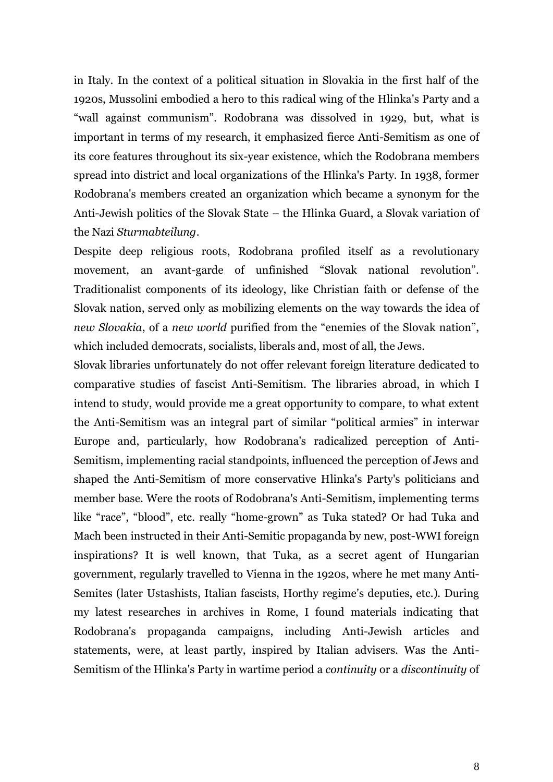in Italy. In the context of a political situation in Slovakia in the first half of the 1920s, Mussolini embodied a hero to this radical wing of the Hlinka's Party and a "wall against communism". Rodobrana was dissolved in 1929, but, what is important in terms of my research, it emphasized fierce Anti-Semitism as one of its core features throughout its six-year existence, which the Rodobrana members spread into district and local organizations of the Hlinka's Party. In 1938, former Rodobrana's members created an organization which became a synonym for the Anti-Jewish politics of the Slovak State – the Hlinka Guard, a Slovak variation of the Nazi *Sturmabteilung*.

Despite deep religious roots, Rodobrana profiled itself as a revolutionary movement, an avant-garde of unfinished "Slovak national revolution". Traditionalist components of its ideology, like Christian faith or defense of the Slovak nation, served only as mobilizing elements on the way towards the idea of *new Slovakia*, of a *new world* purified from the "enemies of the Slovak nation", which included democrats, socialists, liberals and, most of all, the Jews.

Slovak libraries unfortunately do not offer relevant foreign literature dedicated to comparative studies of fascist Anti-Semitism. The libraries abroad, in which I intend to study, would provide me a great opportunity to compare, to what extent the Anti-Semitism was an integral part of similar "political armies" in interwar Europe and, particularly, how Rodobrana's radicalized perception of Anti-Semitism, implementing racial standpoints, influenced the perception of Jews and shaped the Anti-Semitism of more conservative Hlinka's Party's politicians and member base. Were the roots of Rodobrana's Anti-Semitism, implementing terms like "race", "blood", etc. really "home-grown" as Tuka stated? Or had Tuka and Mach been instructed in their Anti-Semitic propaganda by new, post-WWI foreign inspirations? It is well known, that Tuka, as a secret agent of Hungarian government, regularly travelled to Vienna in the 1920s, where he met many Anti-Semites (later Ustashists, Italian fascists, Horthy regime's deputies, etc.). During my latest researches in archives in Rome, I found materials indicating that Rodobrana's propaganda campaigns, including Anti-Jewish articles and statements, were, at least partly, inspired by Italian advisers. Was the Anti-Semitism of the Hlinka's Party in wartime period a *continuity* or a *discontinuity* of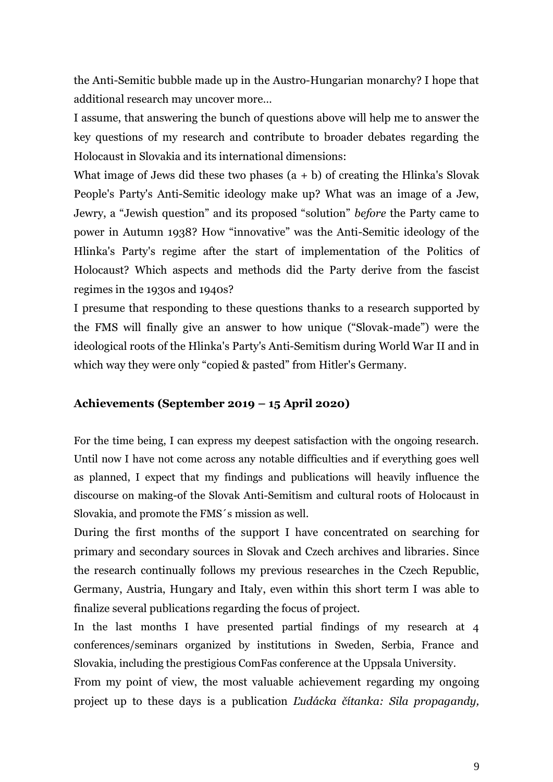the Anti-Semitic bubble made up in the Austro-Hungarian monarchy? I hope that additional research may uncover more…

I assume, that answering the bunch of questions above will help me to answer the key questions of my research and contribute to broader debates regarding the Holocaust in Slovakia and its international dimensions:

What image of Jews did these two phases  $(a + b)$  of creating the Hlinka's Slovak People's Party's Anti-Semitic ideology make up? What was an image of a Jew, Jewry, a "Jewish question" and its proposed "solution" *before* the Party came to power in Autumn 1938? How "innovative" was the Anti-Semitic ideology of the Hlinka's Party's regime after the start of implementation of the Politics of Holocaust? Which aspects and methods did the Party derive from the fascist regimes in the 1930s and 1940s?

I presume that responding to these questions thanks to a research supported by the FMS will finally give an answer to how unique ("Slovak-made") were the ideological roots of the Hlinka's Party's Anti-Semitism during World War II and in which way they were only "copied & pasted" from Hitler's Germany.

### **Achievements (September 2019 – 15 April 2020)**

For the time being, I can express my deepest satisfaction with the ongoing research. Until now I have not come across any notable difficulties and if everything goes well as planned, I expect that my findings and publications will heavily influence the discourse on making-of the Slovak Anti-Semitism and cultural roots of Holocaust in Slovakia, and promote the FMS´s mission as well.

During the first months of the support I have concentrated on searching for primary and secondary sources in Slovak and Czech archives and libraries. Since the research continually follows my previous researches in the Czech Republic, Germany, Austria, Hungary and Italy, even within this short term I was able to finalize several publications regarding the focus of project.

In the last months I have presented partial findings of my research at 4 conferences/seminars organized by institutions in Sweden, Serbia, France and Slovakia, including the prestigious ComFas conference at the Uppsala University.

From my point of view, the most valuable achievement regarding my ongoing project up to these days is a publication *Ľudácka čítanka: Sila propagandy,*